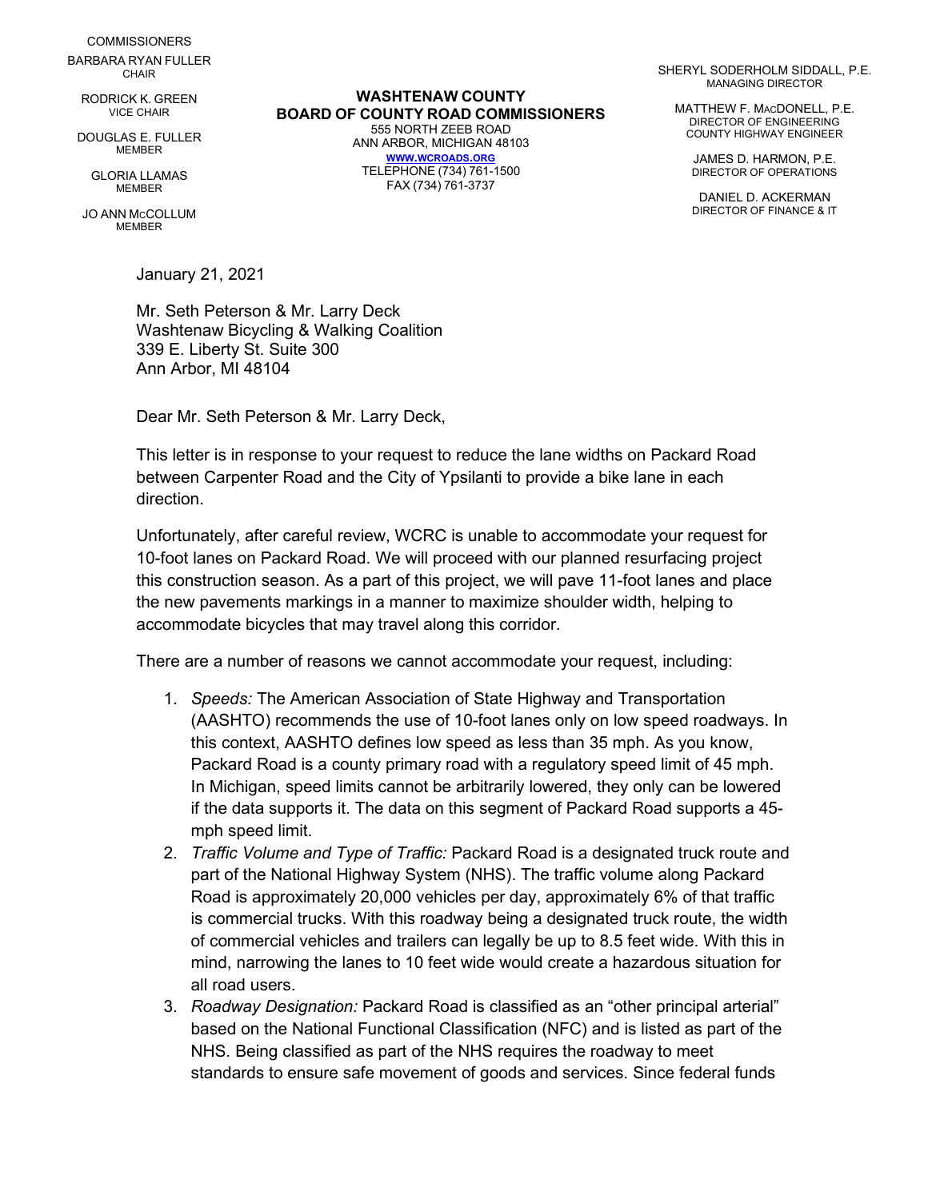**COMMISSIONERS** BARBARA RYAN FULLER **CHAIR** 

RODRICK K. GREEN VICE CHAIR

DOUGLAS E. FULLER **MEMBER** 

> GLORIA LLAMAS MEMBER

JO ANN MCCOLLUM **MEMBER** 

January 21, 2021

Mr. Seth Peterson & Mr. Larry Deck Washtenaw Bicycling & Walking Coalition 339 E. Liberty St. Suite 300 Ann Arbor, MI 48104

Dear Mr. Seth Peterson & Mr. Larry Deck,

This letter is in response to your request to reduce the lane widths on Packard Road between Carpenter Road and the City of Ypsilanti to provide a bike lane in each direction.

Unfortunately, after careful review, WCRC is unable to accommodate your request for 10-foot lanes on Packard Road. We will proceed with our planned resurfacing project this construction season. As a part of this project, we will pave 11-foot lanes and place the new pavements markings in a manner to maximize shoulder width, helping to accommodate bicycles that may travel along this corridor.

There are a number of reasons we cannot accommodate your request, including:

- 1. *Speeds:* The American Association of State Highway and Transportation (AASHTO) recommends the use of 10-foot lanes only on low speed roadways. In this context, AASHTO defines low speed as less than 35 mph. As you know, Packard Road is a county primary road with a regulatory speed limit of 45 mph. In Michigan, speed limits cannot be arbitrarily lowered, they only can be lowered if the data supports it. The data on this segment of Packard Road supports a 45 mph speed limit.
- 2. *Traffic Volume and Type of Traffic:* Packard Road is a designated truck route and part of the National Highway System (NHS). The traffic volume along Packard Road is approximately 20,000 vehicles per day, approximately 6% of that traffic is commercial trucks. With this roadway being a designated truck route, the width of commercial vehicles and trailers can legally be up to 8.5 feet wide. With this in mind, narrowing the lanes to 10 feet wide would create a hazardous situation for all road users.
- 3. *Roadway Designation:* Packard Road is classified as an "other principal arterial" based on the National Functional Classification (NFC) and is listed as part of the NHS. Being classified as part of the NHS requires the roadway to meet standards to ensure safe movement of goods and services. Since federal funds

**WASHTENAW COUNTY BOARD OF COUNTY ROAD COMMISSIONERS** 555 NORTH ZEEB ROAD ANN ARBOR, MICHIGAN 48103 **[WWW.WCROADS.ORG](http://www.wcroads.org/)** TELEPHONE (734) 761-1500 FAX (734) 761-3737

SHERYL SODERHOLM SIDDALL, P.E. MANAGING DIRECTOR

MATTHEW F. MACDONELL, P.E. DIRECTOR OF ENGINEERING COUNTY HIGHWAY ENGINEER

> JAMES D. HARMON, P.E. DIRECTOR OF OPERATIONS

> DANIEL D. ACKERMAN DIRECTOR OF FINANCE & IT